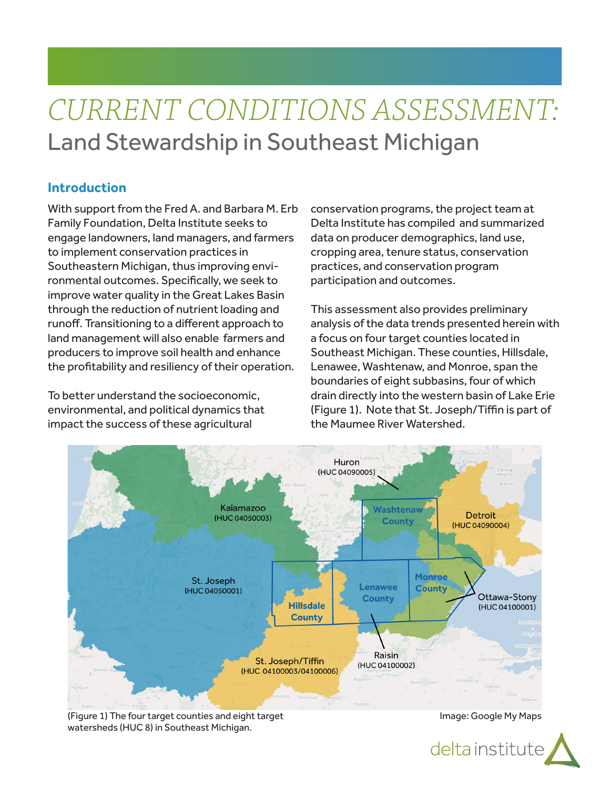# *CURRENT CONDITIONS ASSESSMENT:* Land Stewardship in Southeast Michigan

# **Introduction**

With support from the Fred A. and Barbara M. Erb Family Foundation, Delta Institute seeks to engage landowners, land managers, and farmers to implement conservation practices in Southeastern Michigan, thus improving environmental outcomes. Specifically, we seek to improve water quality in the Great Lakes Basin through the reduction of nutrient loading and runoff. Transitioning to a different approach to land management will also enable farmers and producers to improve soil health and enhance the profitability and resiliency of their operation.

To better understand the socioeconomic, environmental, and political dynamics that impact the success of these agricultural

conservation programs, the project team at Delta Institute has compiled and summarized data on producer demographics, land use, cropping area, tenure status, conservation practices, and conservation program participation and outcomes.

This assessment also provides preliminary analysis of the data trends presented herein with a focus on four target counties located in Southeast Michigan. These counties, Hillsdale, Lenawee, Washtenaw, and Monroe, span the boundaries of eight subbasins, four of which drain directly into the western basin of Lake Erie (Figure 1). Note that St. Joseph/Tiffin is part of the Maumee River Watershed.



(Figure 1) The four target counties and eight target watersheds (HUC 8) in Southeast Michigan.

Image: Google My Maps

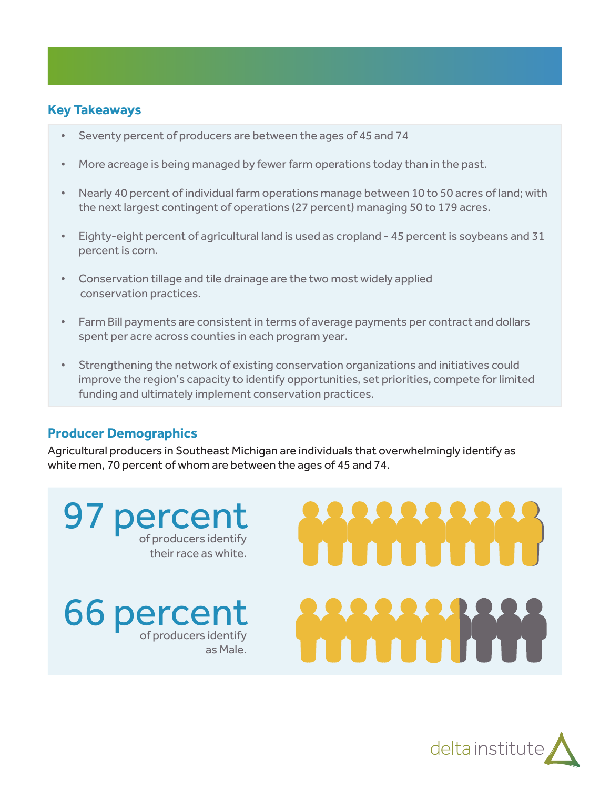# **Key Takeaways**

- Seventy percent of producers are between the ages of 45 and 74
- More acreage is being managed by fewer farm operations today than in the past.
- Nearly 40 percent of individual farm operations manage between 10 to 50 acres of land; with the next largest contingent of operations (27 percent) managing 50 to 179 acres.
- Eighty-eight percent of agricultural land is used as cropland 45 percent is soybeans and 31 percent is corn.
- Conservation tillage and tile drainage are the two most widely applied conservation practices.
- Farm Bill payments are consistent in terms of average payments per contract and dollars spent per acre across counties in each program year.
- Strengthening the network of existing conservation organizations and initiatives could improve the region's capacity to identify opportunities, set priorities, compete for limited funding and ultimately implement conservation practices.

# **Producer Demographics**

Agricultural producers in Southeast Michigan are individuals that overwhelmingly identify as white men, 70 percent of whom are between the ages of 45 and 74.

97 percent their race as white.

**66 percent** as Male.



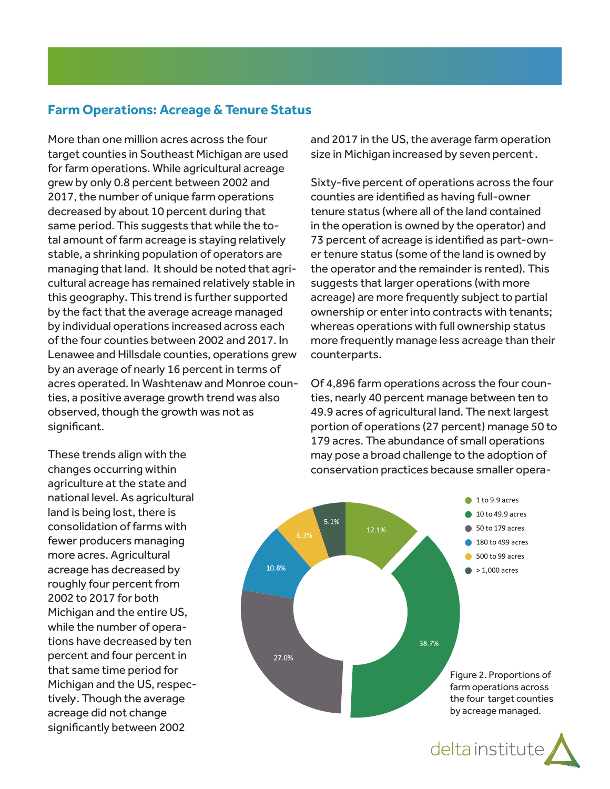# **Farm Operations: Acreage & Tenure Status**

More than one million acres across the four target counties in Southeast Michigan are used for farm operations. While agricultural acreage grew by only 0.8 percent between 2002 and 2017, the number of unique farm operations decreased by about 10 percent during that same period. This suggests that while the total amount of farm acreage is staying relatively stable, a shrinking population of operators are managing that land. It should be noted that agricultural acreage has remained relatively stable in this geography. This trend is further supported by the fact that the average acreage managed by individual operations increased across each of the four counties between 2002 and 2017. In Lenawee and Hillsdale counties, operations grew by an average of nearly 16 percent in terms of acres operated. In Washtenaw and Monroe counties, a positive average growth trend was also observed, though the growth was not as significant.

and 2017 in the US, the average farm operation size in Michigan increased by seven percent<sup>.</sup>.

Sixty-five percent of operations across the four counties are identified as having full-owner tenure status (where all of the land contained in the operation is owned by the operator) and 73 percent of acreage is identified as part-owner tenure status (some of the land is owned by the operator and the remainder is rented). This suggests that larger operations (with more acreage) are more frequently subject to partial ownership or enter into contracts with tenants; whereas operations with full ownership status more frequently manage less acreage than their counterparts.

Of 4,896 farm operations across the four counties, nearly 40 percent manage between ten to 49.9 acres of agricultural land. The next largest portion of operations (27 percent) manage 50 to 179 acres. The abundance of small operations may pose a broad challenge to the adoption of conservation practices because smaller opera-





These trends align with the changes occurring within agriculture at the state and national level. As agricultural land is being lost, there is consolidation of farms with fewer producers managing more acres. Agricultural acreage has decreased by roughly four percent from 2002 to 2017 for both Michigan and the entire US, while the number of operations have decreased by ten percent and four percent in that same time period for Michigan and the US, respectively, . Though the average acreage did not change significantly between 2002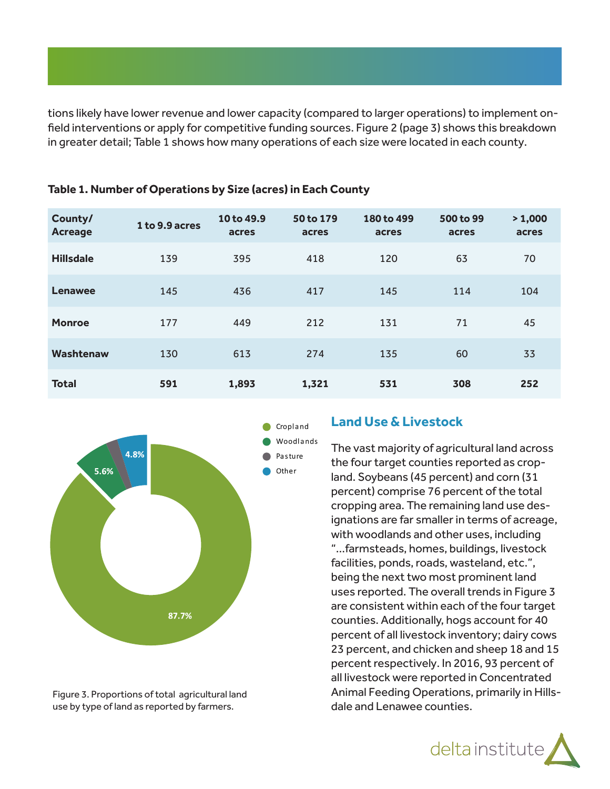tions likely have lower revenue and lower capacity (compared to larger operations) to implement onfield interventions or apply for competitive funding sources. Figure 2 (page 3) shows this breakdown in greater detail; Table 1 shows how many operations of each size were located in each county.

| County/<br><b>Acreage</b> | 1 to 9.9 acres | 10 to 49.9<br>acres | 50 to 179<br>acres | 180 to 499<br>acres | 500 to 99<br>acres | > 1,000<br>acres |
|---------------------------|----------------|---------------------|--------------------|---------------------|--------------------|------------------|
| <b>Hillsdale</b>          | 139            | 395                 | 418                | 120                 | 63                 | 70               |
| Lenawee                   | 145            | 436                 | 417                | 145                 | 114                | 104              |
| <b>Monroe</b>             | 177            | 449                 | 212                | 131                 | 71                 | 45               |
| <b>Washtenaw</b>          | 130            | 613                 | 274                | 135                 | 60                 | 33               |
| <b>Total</b>              | 591            | 1,893               | 1,321              | 531                 | 308                | 252              |

#### **Table 1. Number of Operations by Size (acres) in Each County**



Figure 3. Proportions of total agricultural land use by type of land as reported by farmers.

#### **Land Use & Livestock**

The vast majority of agricultural land across the four target counties reported as cropland. Soybeans (45 percent) and corn (31 percent) comprise 76 percent of the total cropping area. The remaining land use designations are far smaller in terms of acreage, with woodlands and other uses, including "...farmsteads, homes, buildings, livestock facilities, ponds, roads, wasteland, etc.", being the next two most prominent land uses reported. The overall trends in Figure 3 are consistent within each of the four target counties. Additionally, hogs account for 40 percent of all livestock inventory; dairy cows 23 percent, and chicken and sheep 18 and 15 percent respectively. In 2016, 93 percent of all livestock were reported in Concentrated Animal Feeding Operations, primarily in Hillsdale and Lenawee counties.

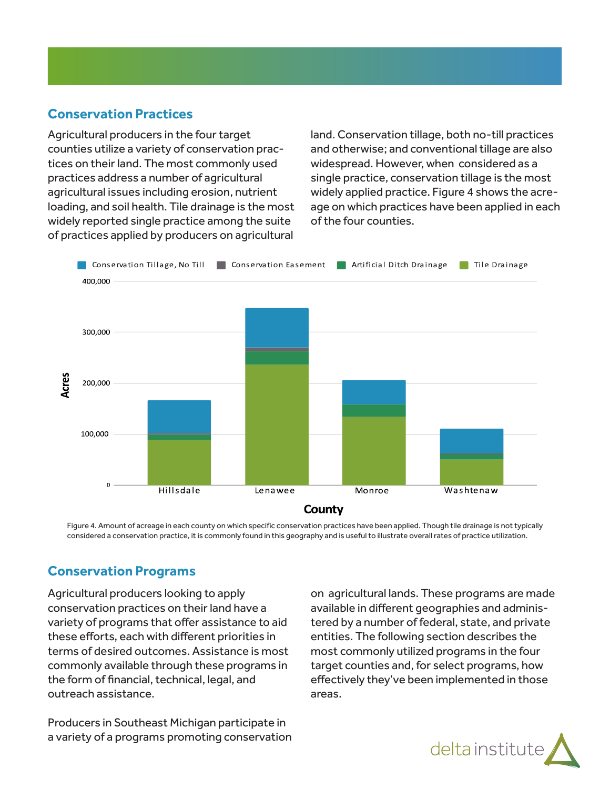# **Conservation Practices**

Agricultural producers in the four target counties utilize a variety of conservation practices on their land. The most commonly used practices address a number of agricultural agricultural issues including erosion, nutrient loading, and soil health. Tile drainage is the most widely reported single practice among the suite of practices applied by producers on agricultural

land. Conservation tillage, both no-till practices and otherwise; and conventional tillage are also widespread. However, when considered as a single practice, conservation tillage is the most widely applied practice. Figure 4 shows the acreage on which practices have been applied in each of the four counties.



Figure 4. Amount of acreage in each county on which specific conservation practices have been applied. Though tile drainage is not typically considered a conservation practice, it is commonly found in this geography and is useful to illustrate overall rates of practice utilization.

# **Conservation Programs**

Agricultural producers looking to apply conservation practices on their land have a variety of programs that offer assistance to aid these efforts, each with different priorities in terms of desired outcomes. Assistance is most commonly available through these programs in the form of financial, technical, legal, and outreach assistance.

Producers in Southeast Michigan participate in a variety of a programs promoting conservation on agricultural lands. These programs are made available in different geographies and administered by a number of federal, state, and private entities. The following section describes the most commonly utilized programs in the four target counties and, for select programs, how effectively they've been implemented in those areas.

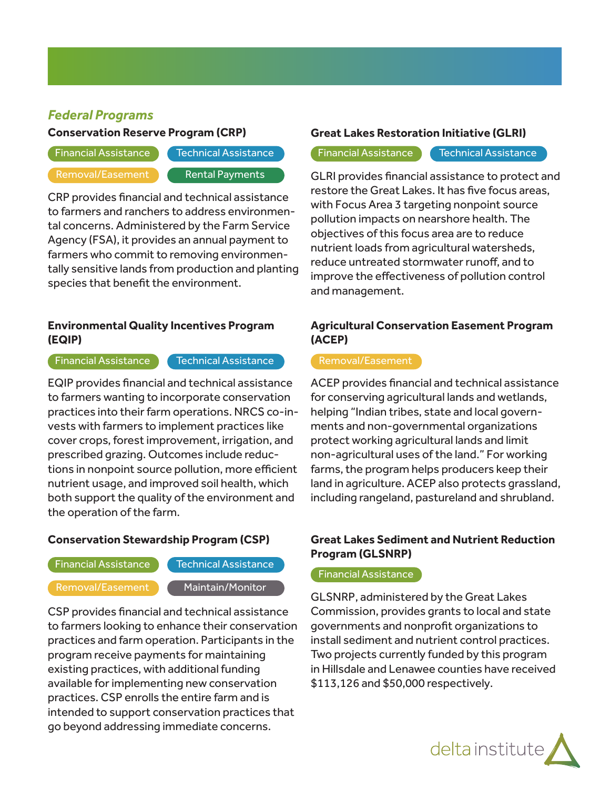# *Federal Programs*

#### **Conservation Reserve Program (CRP)**

Financial Assistance **Technical Assistance** 

Removal/Easement **Rental Payments** 

CRP provides financial and technical assistance to farmers and ranchers to address environmental concerns. Administered by the Farm Service Agency (FSA), it provides an annual payment to farmers who commit to removing environmentally sensitive lands from production and planting species that benefit the environment.

#### **Environmental Quality Incentives Program (EQIP)**

 $\overline{\phantom{a}}$  Financial Assistance  $\overline{\phantom{a}}$  Technical Assistance

EQIP provides financial and technical assistance to farmers wanting to incorporate conservation practices into their farm operations. NRCS co-invests with farmers to implement practices like cover crops, forest improvement, irrigation, and prescribed grazing. Outcomes include reductions in nonpoint source pollution, more efficient nutrient usage, and improved soil health, which both support the quality of the environment and the operation of the farm.

#### **Conservation Stewardship Program (CSP)**

Financial Assistance **Technical Assistance** 

Removal/Easement Maintain/Monitor

CSP provides financial and technical assistance to farmers looking to enhance their conservation practices and farm operation. Participants in the program receive payments for maintaining existing practices, with additional funding available for implementing new conservation practices. CSP enrolls the entire farm and is intended to support conservation practices that go beyond addressing immediate concerns.

#### **Great Lakes Restoration Initiative (GLRI)**

Financial Assistance Technical Assistance

GLRI provides financial assistance to protect and restore the Great Lakes. It has five focus areas, with Focus Area 3 targeting nonpoint source pollution impacts on nearshore health. The objectives of this focus area are to reduce nutrient loads from agricultural watersheds, reduce untreated stormwater runoff, and to improve the effectiveness of pollution control and management.

### **Agricultural Conservation Easement Program (ACEP)**

ACEP provides financial and technical assistance for conserving agricultural lands and wetlands, helping "Indian tribes, state and local governments and non-governmental organizations protect working agricultural lands and limit non-agricultural uses of the land." For working farms, the program helps producers keep their land in agriculture. ACEP also protects grassland, including rangeland, pastureland and shrubland.

### **Great Lakes Sediment and Nutrient Reduction Program (GLSNRP)**

#### Financial Assistance

GLSNRP, administered by the Great Lakes Commission, provides grants to local and state governments and nonprofit organizations to install sediment and nutrient control practices. Two projects currently funded by this program in Hillsdale and Lenawee counties have received \$113,126 and \$50,000 respectively.

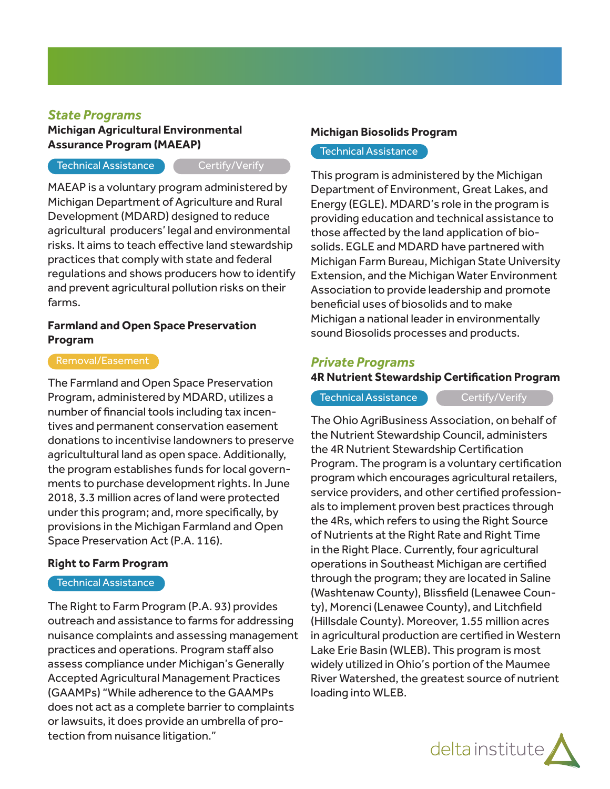### *State Programs*

#### **Michigan Agricultural Environmental Assurance Program (MAEAP)**

#### Technical Assistance Certify/Verify

MAEAP is a voluntary program administered by Michigan Department of Agriculture and Rural Development (MDARD) designed to reduce agricultural producers' legal and environmental risks. It aims to teach effective land stewardship practices that comply with state and federal regulations and shows producers how to identify and prevent agricultural pollution risks on their farms.

#### **Farmland and Open Space Preservation Program**

The Farmland and Open Space Preservation Program, administered by MDARD, utilizes a number of financial tools including tax incentives and permanent conservation easement donations to incentivise landowners to preserve agricultultural land as open space. Additionally, the program establishes funds for local governments to purchase development rights. In June 2018, 3.3 million acres of land were protected under this program; and, more specifically, by provisions in the Michigan Farmland and Open Space Preservation Act (P.A. 116).

#### **Right to Farm Program**

#### Technical Assistance

The Right to Farm Program (P.A. 93) provides outreach and assistance to farms for addressing nuisance complaints and assessing management practices and operations. Program staff also assess compliance under Michigan's Generally Accepted Agricultural Management Practices (GAAMPs) "While adherence to the GAAMPs does not act as a complete barrier to complaints or lawsuits, it does provide an umbrella of protection from nuisance litigation."

#### **Michigan Biosolids Program**

#### Technical Assistance

This program is administered by the Michigan Department of Environment, Great Lakes, and Energy (EGLE). MDARD's role in the program is providing education and technical assistance to those affected by the land application of biosolids. EGLE and MDARD have partnered with Michigan Farm Bureau, Michigan State University Extension, and the Michigan Water Environment Association to provide leadership and promote beneficial uses of biosolids and to make Michigan a national leader in environmentally sound Biosolids processes and products.

#### *Private Programs*

#### **4R Nutrient Stewardship Certification Program**

Technical Assistance **CALC CERTIFY** Certify/Verify

The Ohio AgriBusiness Association, on behalf of the Nutrient Stewardship Council, administers the 4R Nutrient Stewardship Certification Program. The program is a voluntary certification program which encourages agricultural retailers, service providers, and other certified professionals to implement proven best practices through the 4Rs, which refers to using the Right Source of Nutrients at the Right Rate and Right Time in the Right Place. Currently, four agricultural operations in Southeast Michigan are certified through the program; they are located in Saline (Washtenaw County), Blissfield (Lenawee County), Morenci (Lenawee County), and Litchfield (Hillsdale County). Moreover, 1.55 million acres in agricultural production are certified in Western Lake Erie Basin (WLEB). This program is most widely utilized in Ohio's portion of the Maumee River Watershed, the greatest source of nutrient loading into WLEB.

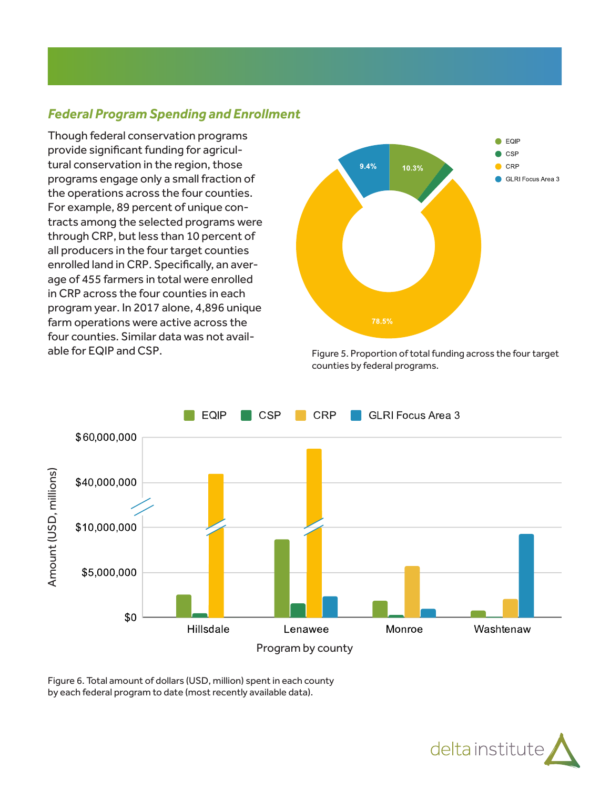# *Federal Program Spending and Enrollment*

Though federal conservation programs provide significant funding for agricultural conservation in the region, those programs engage only a small fraction of the operations across the four counties. For example, 89 percent of unique contracts among the selected programs were through CRP, but less than 10 percent of all producers in the four target counties enrolled land in CRP. Specifically, an average of 455 farmers in total were enrolled in CRP across the four counties in each program year. In 2017 alone, 4,896 unique farm operations were active across the four counties. Similar data was not available for EQIP and CSP.



Figure 5. Proportion of total funding across the four target counties by federal programs.



Figure 6. Total amount of dollars (USD, million) spent in each county

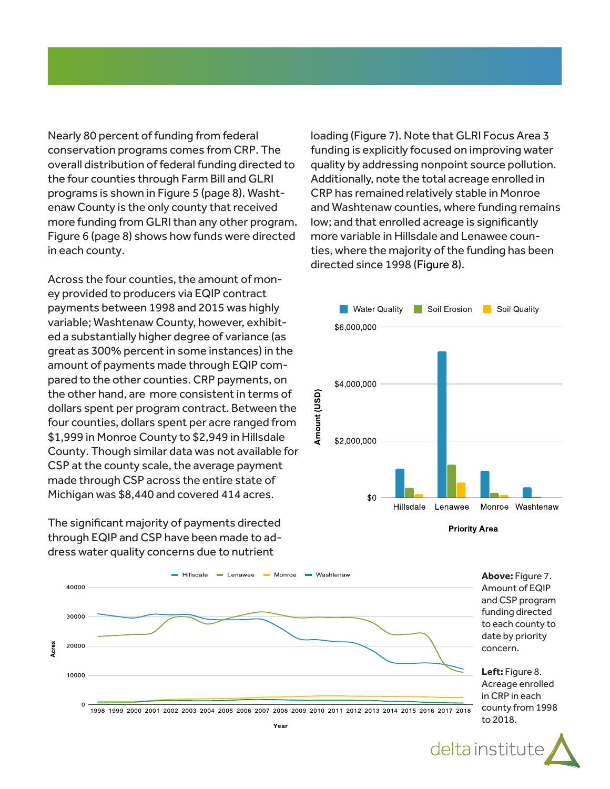Nearly 80 percent of funding from federal conservation programs comes from CRP. The overall distribution of federal funding directed to the four counties through Farm Bill and GLRI programs is shown in Figure 5 (page 8). Washtenaw County is the only county that received more funding from GLRI than any other program. Figure 6 (page 8) shows how funds were directed in each county.

Across the four counties, the amount of money provided to producers via EQIP contract payments between 1998 and 2015 was highly variable; Washtenaw County, however, exhibited a substantially higher degree of variance (as great as 300% percent in some instances) in the amount of payments made through EQIP compared to the other counties. CRP payments, on the other hand, are more consistent in terms of dollars spent per program contract. Between the four counties, dollars spent per acre ranged from \$1,999 in Monroe County to \$2,949 in Hillsdale County. Though similar data was not available for CSP at the county scale, the average payment made through CSP across the entire state of Michigan was \$8,440 and covered 414 acres.

The significant majority of payments directed through EQIP and CSP have been made to address water quality concerns due to nutrient

loading (Figure 7). Note that GLRI Focus Area 3 funding is explicitly focused on improving water quality by addressing nonpoint source pollution. Additionally, note the total acreage enrolled in CRP has remained relatively stable in Monroe and Washtenaw counties, where funding remains low; and that enrolled acreage is significantly more variable in Hillsdale and Lenawee counties, where the majority of the funding has been directed since 1998 (Figure 8).







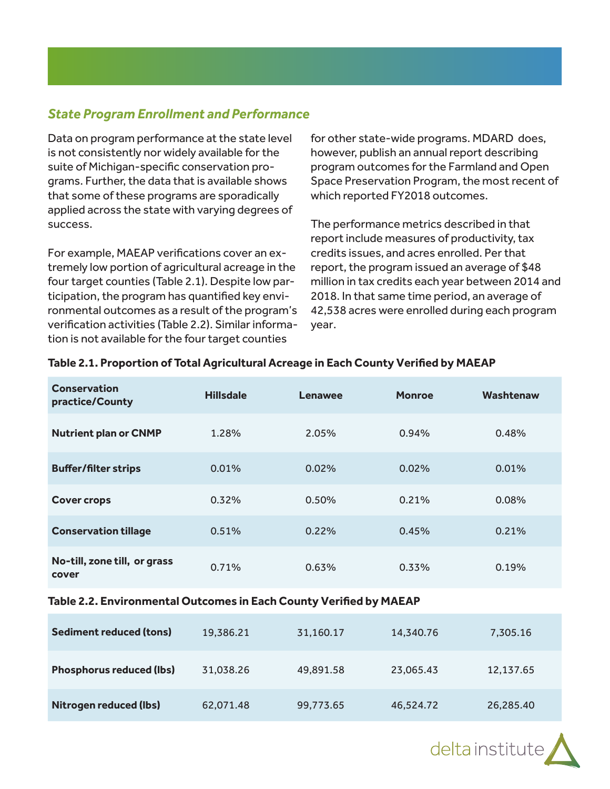# *State Program Enrollment and Performance*

Data on program performance at the state level is not consistently nor widely available for the suite of Michigan-specific conservation programs. Further, the data that is available shows that some of these programs are sporadically applied across the state with varying degrees of success.

For example, MAEAP verifications cover an extremely low portion of agricultural acreage in the four target counties (Table 2.1). Despite low participation, the program has quantified key environmental outcomes as a result of the program's verification activities (Table 2.2). Similar information is not available for the four target counties

for other state-wide programs. MDARD does, however, publish an annual report describing program outcomes for the Farmland and Open Space Preservation Program, the most recent of which reported FY2018 outcomes.

The performance metrics described in that report include measures of productivity, tax credits issues, and acres enrolled. Per that report, the program issued an average of \$48 million in tax credits each year between 2014 and 2018. In that same time period, an average of 42,538 acres were enrolled during each program year.

| <b>Conservation</b><br>practice/County | <b>Hillsdale</b> | Lenawee | <b>Monroe</b> | Washtenaw |
|----------------------------------------|------------------|---------|---------------|-----------|
| <b>Nutrient plan or CNMP</b>           | 1.28%            | 2.05%   | 0.94%         | 0.48%     |
| <b>Buffer/filter strips</b>            | 0.01%            | 0.02%   | 0.02%         | 0.01%     |
| <b>Cover crops</b>                     | 0.32%            | 0.50%   | 0.21%         | 0.08%     |
| <b>Conservation tillage</b>            | 0.51%            | 0.22%   | 0.45%         | 0.21%     |
| No-till, zone till, or grass<br>cover  | 0.71%            | 0.63%   | 0.33%         | 0.19%     |

#### **Table 2.1. Proportion of Total Agricultural Acreage in Each County Verified by MAEAP**

#### **Table 2.2. Environmental Outcomes in Each County Verified by MAEAP**

| <b>Sediment reduced (tons)</b>  | 19,386.21 | 31,160.17 | 14,340.76 | 7,305.16  |
|---------------------------------|-----------|-----------|-----------|-----------|
| <b>Phosphorus reduced (lbs)</b> | 31,038.26 | 49,891.58 | 23,065.43 | 12,137.65 |
| <b>Nitrogen reduced (Ibs)</b>   | 62,071.48 | 99,773.65 | 46,524.72 | 26,285.40 |

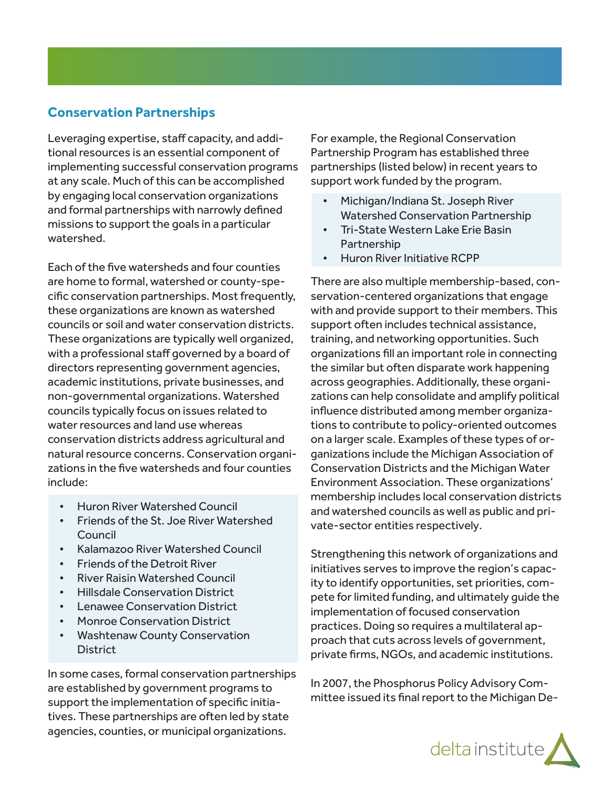# **Conservation Partnerships**

Leveraging expertise, staff capacity, and additional resources is an essential component of implementing successful conservation programs at any scale. Much of this can be accomplished by engaging local conservation organizations and formal partnerships with narrowly defined missions to support the goals in a particular watershed.

Each of the five watersheds and four counties are home to formal, watershed or county-specific conservation partnerships. Most frequently, these organizations are known as watershed councils or soil and water conservation districts. These organizations are typically well organized, with a professional staff governed by a board of directors representing government agencies, academic institutions, private businesses, and non-governmental organizations. Watershed councils typically focus on issues related to water resources and land use whereas conservation districts address agricultural and natural resource concerns. Conservation organizations in the five watersheds and four counties include:

- Huron River Watershed Council
- Friends of the St. Joe River Watershed Council
- Kalamazoo River Watershed Council
- Friends of the Detroit River
- River Raisin Watershed Council
- Hillsdale Conservation District
- Lenawee Conservation District
- Monroe Conservation District
- Washtenaw County Conservation **District**

In some cases, formal conservation partnerships are established by government programs to support the implementation of specific initiatives. These partnerships are often led by state agencies, counties, or municipal organizations.

For example, the Regional Conservation Partnership Program has established three partnerships (listed below) in recent years to support work funded by the program.

- Michigan/Indiana St. Joseph River Watershed Conservation Partnership
- Tri-State Western Lake Erie Basin Partnership
- Huron River Initiative RCPP

There are also multiple membership-based, conservation-centered organizations that engage with and provide support to their members. This support often includes technical assistance, training, and networking opportunities. Such organizations fill an important role in connecting the similar but often disparate work happening across geographies. Additionally, these organizations can help consolidate and amplify political influence distributed among member organizations to contribute to policy-oriented outcomes on a larger scale. Examples of these types of organizations include the Michigan Association of Conservation Districts and the Michigan Water Environment Association. These organizations' membership includes local conservation districts and watershed councils as well as public and private-sector entities respectively.

Strengthening this network of organizations and initiatives serves to improve the region's capacity to identify opportunities, set priorities, compete for limited funding, and ultimately guide the implementation of focused conservation practices. Doing so requires a multilateral approach that cuts across levels of government, private firms, NGOs, and academic institutions.

In 2007, the Phosphorus Policy Advisory Committee issued its final report to the Michigan De-

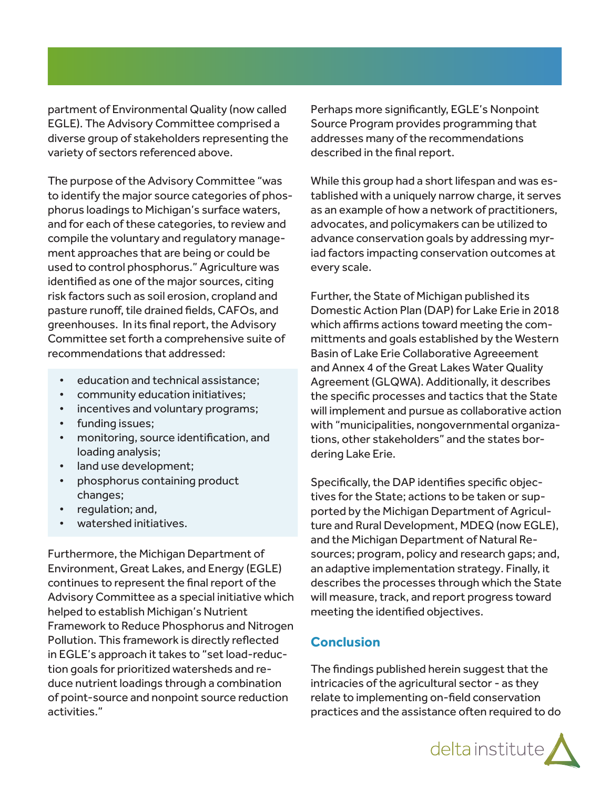partment of Environmental Quality (now called EGLE). The Advisory Committee comprised a diverse group of stakeholders representing the variety of sectors referenced above.

The purpose of the Advisory Committee "was to identify the major source categories of phosphorus loadings to Michigan's surface waters, and for each of these categories, to review and compile the voluntary and regulatory management approaches that are being or could be used to control phosphorus." Agriculture was identified as one of the major sources, citing risk factors such as soil erosion, cropland and pasture runoff, tile drained fields, CAFOs, and greenhouses. In its final report, the Advisory Committee set forth a comprehensive suite of recommendations that addressed:

- education and technical assistance;
- community education initiatives;
- incentives and voluntary programs;
- funding issues;
- monitoring, source identification, and loading analysis;
- land use development;
- phosphorus containing product changes;
- requlation; and,
- watershed initiatives.

Furthermore, the Michigan Department of Environment, Great Lakes, and Energy (EGLE) continues to represent the final report of the Advisory Committee as a special initiative which helped to establish Michigan's Nutrient Framework to Reduce Phosphorus and Nitrogen Pollution. This framework is directly reflected in EGLE's approach it takes to "set load-reduction goals for prioritized watersheds and reduce nutrient loadings through a combination of point-source and nonpoint source reduction activities."

Perhaps more significantly, EGLE's Nonpoint Source Program provides programming that addresses many of the recommendations described in the final report.

While this group had a short lifespan and was established with a uniquely narrow charge, it serves as an example of how a network of practitioners, advocates, and policymakers can be utilized to advance conservation goals by addressing myriad factors impacting conservation outcomes at every scale.

Further, the State of Michigan published its Domestic Action Plan (DAP) for Lake Erie in 2018 which affirms actions toward meeting the committments and goals established by the Western Basin of Lake Erie Collaborative Agreeement and Annex 4 of the Great Lakes Water Quality Agreement (GLQWA). Additionally, it describes the specific processes and tactics that the State will implement and pursue as collaborative action with "municipalities, nongovernmental organizations, other stakeholders" and the states bordering Lake Erie.

Specifically, the DAP identifies specific objectives for the State; actions to be taken or supported by the Michigan Department of Agriculture and Rural Development, MDEQ (now EGLE), and the Michigan Department of Natural Resources; program, policy and research gaps; and, an adaptive implementation strategy. Finally, it describes the processes through which the State will measure, track, and report progress toward meeting the identified objectives.

#### **Conclusion**

The findings published herein suggest that the intricacies of the agricultural sector - as they relate to implementing on-field conservation practices and the assistance often required to do

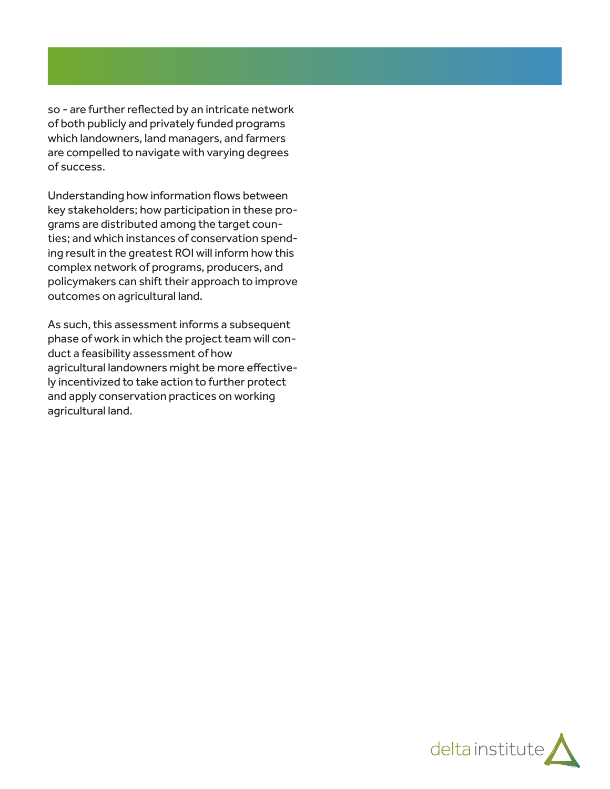so - are further reflected by an intricate network of both publicly and privately funded programs which landowners, land managers, and farmers are compelled to navigate with varying degrees of success.

Understanding how information flows between key stakeholders; how participation in these programs are distributed among the target counties; and which instances of conservation spending result in the greatest ROI will inform how this complex network of programs, producers, and policymakers can shift their approach to improve outcomes on agricultural land.

As such, this assessment informs a subsequent phase of work in which the project team will conduct a feasibility assessment of how agricultural landowners might be more effectively incentivized to take action to further protect and apply conservation practices on working agricultural land.

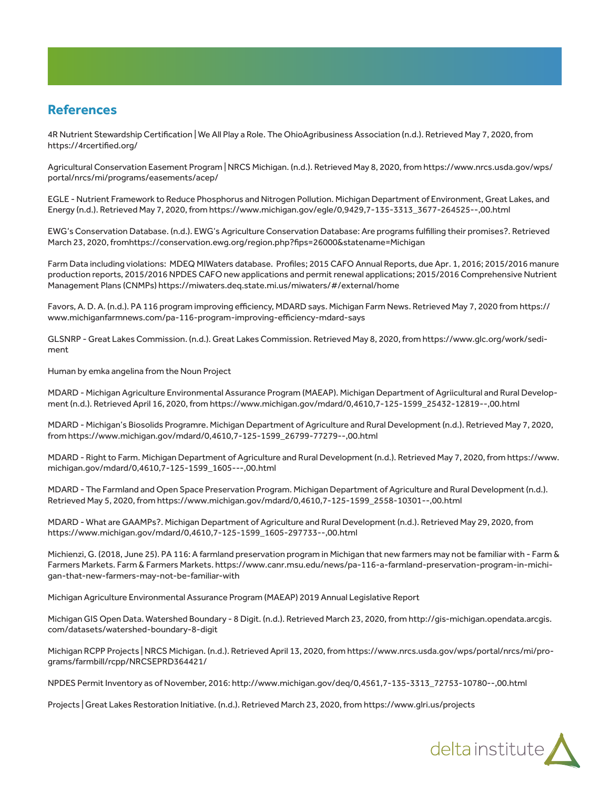### **References**

4R Nutrient Stewardship Certification | We All Play a Role. The OhioAgribusiness Association (n.d.). Retrieved May 7, 2020, from https://4rcertified.org/

Agricultural Conservation Easement Program | NRCS Michigan. (n.d.). Retrieved May 8, 2020, from https://www.nrcs.usda.gov/wps/ portal/nrcs/mi/programs/easements/acep/

EGLE - Nutrient Framework to Reduce Phosphorus and Nitrogen Pollution. Michigan Department of Environment, Great Lakes, and Energy (n.d.). Retrieved May 7, 2020, from https://www.michigan.gov/egle/0,9429,7-135-3313\_3677-264525--,00.html

EWG's Conservation Database. (n.d.). EWG's Agriculture Conservation Database: Are programs fulfilling their promises?. Retrieved March 23, 2020, fromhttps://conservation.ewg.org/region.php?fips=26000&statename=Michigan

Farm Data including violations: MDEQ MIWaters database. Profiles; 2015 CAFO Annual Reports, due Apr. 1, 2016; 2015/2016 manure production reports, 2015/2016 NPDES CAFO new applications and permit renewal applications; 2015/2016 Comprehensive Nutrient Management Plans (CNMPs) https://miwaters.deq.state.mi.us/miwaters/#/external/home

Favors, A. D. A. (n.d.). PA 116 program improving efficiency, MDARD says. Michigan Farm News. Retrieved May 7, 2020 from https:// www.michiganfarmnews.com/pa-116-program-improving-efficiency-mdard-says

GLSNRP - Great Lakes Commission. (n.d.). Great Lakes Commission. Retrieved May 8, 2020, from https://www.glc.org/work/sediment

Human by emka angelina from the Noun Project

MDARD - Michigan Agriculture Environmental Assurance Program (MAEAP). Michigan Department of Agriicultural and Rural Development (n.d.). Retrieved April 16, 2020, from https://www.michigan.gov/mdard/0,4610,7-125-1599\_25432-12819--,00.html

MDARD - Michigan's Biosolids Programre. Michigan Department of Agriculture and Rural Development (n.d.). Retrieved May 7, 2020, from https://www.michigan.gov/mdard/0,4610,7-125-1599\_26799-77279--,00.html

MDARD - Right to Farm. Michigan Department of Agriculture and Rural Development (n.d.). Retrieved May 7, 2020, from https://www. michigan.gov/mdard/0,4610,7-125-1599\_1605---,00.html

MDARD - The Farmland and Open Space Preservation Program. Michigan Department of Agriculture and Rural Development (n.d.). Retrieved May 5, 2020, from https://www.michigan.gov/mdard/0,4610,7-125-1599\_2558-10301--,00.html

MDARD - What are GAAMPs?. Michigan Department of Agriculture and Rural Development (n.d.). Retrieved May 29, 2020, from https://www.michigan.gov/mdard/0,4610,7-125-1599\_1605-297733--,00.html

Michienzi, G. (2018, June 25). PA 116: A farmland preservation program in Michigan that new farmers may not be familiar with - Farm & Farmers Markets. Farm & Farmers Markets. https://www.canr.msu.edu/news/pa-116-a-farmland-preservation-program-in-michigan-that-new-farmers-may-not-be-familiar-with

Michigan Agriculture Environmental Assurance Program (MAEAP) 2019 Annual Legislative Report

Michigan GIS Open Data. Watershed Boundary - 8 Digit. (n.d.). Retrieved March 23, 2020, from http://gis-michigan.opendata.arcgis. com/datasets/watershed-boundary-8-digit

Michigan RCPP Projects | NRCS Michigan. (n.d.). Retrieved April 13, 2020, from https://www.nrcs.usda.gov/wps/portal/nrcs/mi/programs/farmbill/rcpp/NRCSEPRD364421/

NPDES Permit Inventory as of November, 2016: http://www.michigan.gov/deq/0,4561,7-135-3313\_72753-10780--,00.html

Projects | Great Lakes Restoration Initiative. (n.d.). Retrieved March 23, 2020, from https://www.glri.us/projects